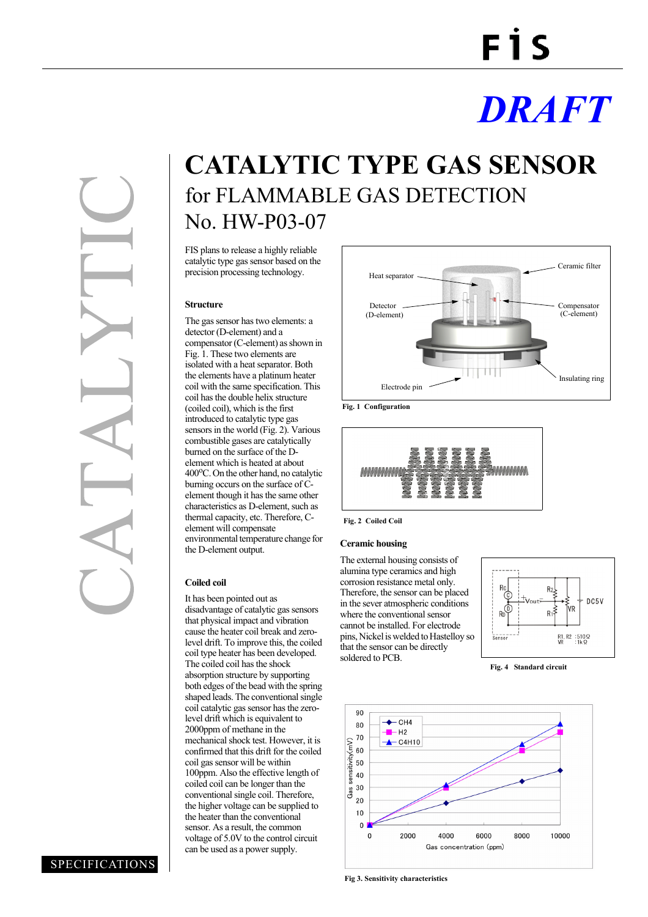# **FIS**

## *DRAFT*

### **CATALYTIC TYPE GAS SENSOR** for FLAMMABLE GAS DETECTION No. HW-P03-07

FIS plans to release a highly reliable catalytic type gas sensor based on the precision processing technology.

#### **Structure**

The gas sensor has two elements: a detector (D-element) and a compensator (C-element) as shown in Fig. 1. These two elements are isolated with a heat separator. Both the elements have a platinum heater coil with the same specification. This coil has the double helix structure (coiled coil), which is the first introduced to catalytic type gas sensors in the world (Fig. 2). Various combustible gases are catalytically burned on the surface of the Delement which is heated at about 400°C. On the other hand, no catalytic burning occurs on the surface of Celement though it has the same other characteristics as D-element, such as thermal capacity, etc. Therefore, Celement will compensate environmental temperature change for the D-element output.

#### **Coiled coil**

It has been pointed out as disadvantage of catalytic gas sensors that physical impact and vibration cause the heater coil break and zerolevel drift. To improve this, the coiled coil type heater has been developed. The coiled coil has the shock absorption structure by supporting both edges of the bead with the spring shaped leads. The conventional single coil catalytic gas sensor has the zerolevel drift which is equivalent to 2000ppm of methane in the mechanical shock test. However, it is confirmed that this drift for the coiled coil gas sensor will be within 100ppm. Also the effective length of coiled coil can be longer than the conventional single coil. Therefore, the higher voltage can be supplied to the heater than the conventional sensor. As a result, the common voltage of 5.0V to the control circuit can be used as a power supply.



**Fig. 1 Configuration**



**Fig. 2 Coiled Coil**

#### **Ceramic housing**

The external housing consists of alumina type ceramics and high corrosion resistance metal only. Therefore, the sensor can be placed in the sever atmospheric conditions where the conventional sensor cannot be installed. For electrode pins, Nickel is welded to Hastelloy so that the sensor can be directly soldered to PCB.



**Fig. 4 Standard circuit**